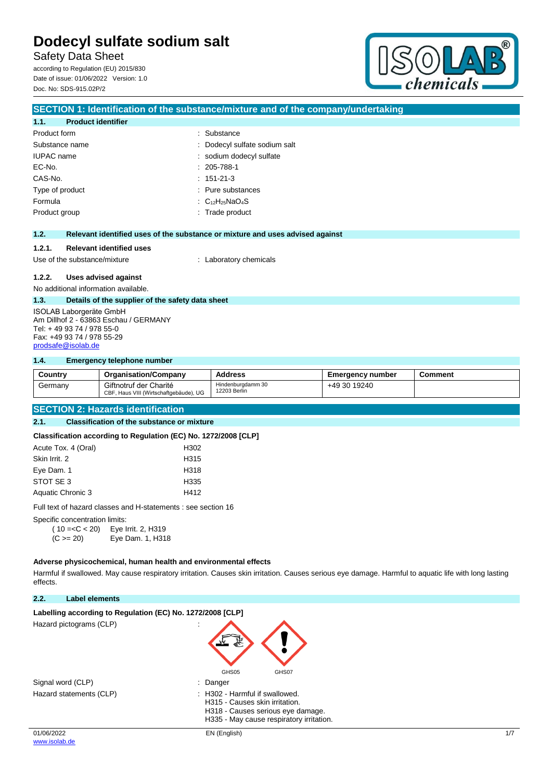Safety Data Sheet

according to Regulation (EU) 2015/830 Date of issue: 01/06/2022 Version: 1.0 Doc. No: SDS-915.02P/2



| SECTION 1: Identification of the substance/mixture and of the company/undertaking                                                                 |                                                                               |  |
|---------------------------------------------------------------------------------------------------------------------------------------------------|-------------------------------------------------------------------------------|--|
| 1.1.<br><b>Product identifier</b>                                                                                                                 |                                                                               |  |
| Product form                                                                                                                                      | : Substance                                                                   |  |
| Substance name                                                                                                                                    | : Dodecyl sulfate sodium salt                                                 |  |
| <b>IUPAC</b> name                                                                                                                                 | : sodium dodecyl sulfate                                                      |  |
| EC-No.                                                                                                                                            | $: 205 - 788 - 1$                                                             |  |
| CAS-No.                                                                                                                                           | $: 151-21-3$                                                                  |  |
| Type of product                                                                                                                                   | : Pure substances                                                             |  |
| Formula                                                                                                                                           | : $C_{12}H_{25}NaO_4S$                                                        |  |
| Product group                                                                                                                                     | : Trade product                                                               |  |
|                                                                                                                                                   |                                                                               |  |
| 1.2.                                                                                                                                              | Relevant identified uses of the substance or mixture and uses advised against |  |
| <b>Relevant identified uses</b><br>1.2.1.                                                                                                         |                                                                               |  |
| Use of the substance/mixture                                                                                                                      | : Laboratory chemicals                                                        |  |
| 1.2.2.<br>Uses advised against                                                                                                                    |                                                                               |  |
| No additional information available.                                                                                                              |                                                                               |  |
| 1.3.<br>Details of the supplier of the safety data sheet                                                                                          |                                                                               |  |
| ISOLAB Laborgeräte GmbH<br>Am Dillhof 2 - 63863 Eschau / GERMANY<br>Tel: +49 93 74 / 978 55-0<br>Fax: +49 93 74 / 978 55-29<br>prodsafe@isolab.de |                                                                               |  |

## **1.4. Emergency telephone number**

| Country | <b>Organisation/Company</b>                                      | <b>Address</b>                    | Emergency number | Comment |
|---------|------------------------------------------------------------------|-----------------------------------|------------------|---------|
| Germany | Giftnotruf der Charité<br>CBF, Haus VIII (Wirtschaftgebäude), UG | Hindenburgdamm 30<br>12203 Berlin | +49 30 19240     |         |

# **SECTION 2: Hazards identification**

# **2.1. Classification of the substance or mixture**

**Classification according to Regulation (EC) No. 1272/2008 [CLP]**

| Acute Tox. 4 (Oral) | H <sub>302</sub> |
|---------------------|------------------|
| Skin Irrit. 2       | H315             |
| Eye Dam. 1          | H318             |
| STOT SE 3           | H335             |
| Aquatic Chronic 3   | H412             |
|                     |                  |

Full text of hazard classes and H-statements : see section 16

Specific concentration limits:

( 10 =<C < 20) Eye Irrit. 2, H319 (C >= 20) Eye Dam. 1, H318

# **Adverse physicochemical, human health and environmental effects**

Harmful if swallowed. May cause respiratory irritation. Causes skin irritation. Causes serious eye damage. Harmful to aquatic life with long lasting effects.

## **2.2. Label elements**

| Labelling according to Regulation (EC) No. 1272/2008 [CLP] |                                                                                                                                                      |     |  |
|------------------------------------------------------------|------------------------------------------------------------------------------------------------------------------------------------------------------|-----|--|
| Hazard pictograms (CLP)                                    | ٠.                                                                                                                                                   |     |  |
|                                                            | GHS05<br>GHS07                                                                                                                                       |     |  |
| Signal word (CLP)                                          | Danger<br>÷                                                                                                                                          |     |  |
| Hazard statements (CLP)                                    | H302 - Harmful if swallowed.<br>٠<br>H315 - Causes skin irritation.<br>H318 - Causes serious eye damage.<br>H335 - May cause respiratory irritation. |     |  |
| 01/06/2022                                                 | EN (English)                                                                                                                                         | 1/7 |  |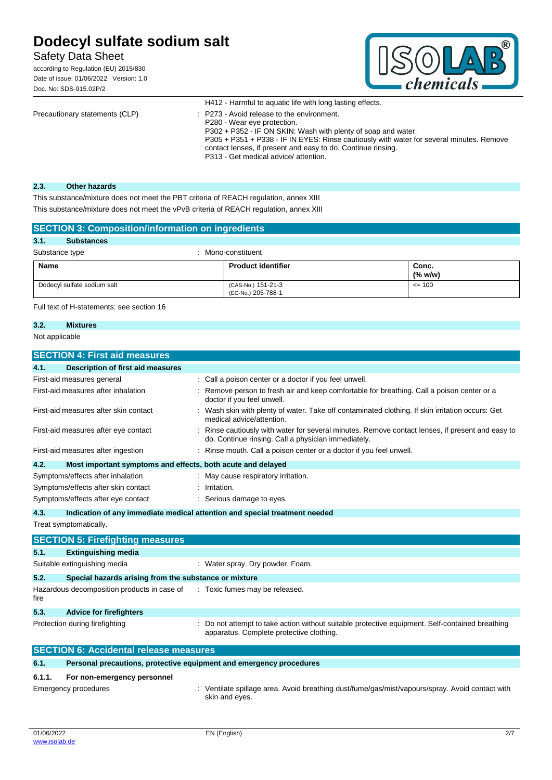# Safety Data Sheet

according to Regulation (EU) 2015/830 Date of issue: 01/06/2022 Version: 1.0 Doc. No: SDS-915.02P/2



|                                | H412 - Harmful to aquatic life with long lasting effects.                                                                                                                                                                                                                                                                                       |
|--------------------------------|-------------------------------------------------------------------------------------------------------------------------------------------------------------------------------------------------------------------------------------------------------------------------------------------------------------------------------------------------|
| Precautionary statements (CLP) | : P273 - Avoid release to the environment.<br>P280 - Wear eye protection.<br>P302 + P352 - IF ON SKIN: Wash with plenty of soap and water.<br>P305 + P351 + P338 - IF IN EYES: Rinse cautiously with water for several minutes. Remove<br>contact lenses, if present and easy to do. Continue rinsing.<br>P313 - Get medical advice/ attention. |

### **2.3. Other hazards**

This substance/mixture does not meet the PBT criteria of REACH regulation, annex XIII This substance/mixture does not meet the vPvB criteria of REACH regulation, annex XIII

| <b>SECTION 3: Composition/information on ingredients</b> |                                          |                       |
|----------------------------------------------------------|------------------------------------------|-----------------------|
| 3.1.<br><b>Substances</b>                                |                                          |                       |
| Substance type                                           | Mono-constituent                         |                       |
| Name                                                     | <b>Product identifier</b>                | Conc.<br>$(%$ (% w/w) |
| Dodecyl sulfate sodium salt                              | (CAS-No.) 151-21-3<br>(EC-No.) 205-788-1 | $= 100$               |

Full text of H-statements: see section 16

## **3.2. Mixtures**

#### Not applicable

## **SECTION 4: First aid measures**

| 4.1.   | Description of first aid measures                                   |                                                                                                                                                       |
|--------|---------------------------------------------------------------------|-------------------------------------------------------------------------------------------------------------------------------------------------------|
|        | First-aid measures general                                          | Call a poison center or a doctor if you feel unwell.                                                                                                  |
|        | First-aid measures after inhalation                                 | Remove person to fresh air and keep comfortable for breathing. Call a poison center or a<br>doctor if you feel unwell.                                |
|        | First-aid measures after skin contact                               | Wash skin with plenty of water. Take off contaminated clothing. If skin irritation occurs: Get<br>medical advice/attention.                           |
|        | First-aid measures after eye contact                                | Rinse cautiously with water for several minutes. Remove contact lenses, if present and easy to<br>do. Continue rinsing. Call a physician immediately. |
|        | First-aid measures after ingestion                                  | Rinse mouth. Call a poison center or a doctor if you feel unwell.                                                                                     |
| 4.2.   | Most important symptoms and effects, both acute and delayed         |                                                                                                                                                       |
|        | Symptoms/effects after inhalation                                   | May cause respiratory irritation.                                                                                                                     |
|        | Symptoms/effects after skin contact                                 | Irritation.                                                                                                                                           |
|        | Symptoms/effects after eye contact                                  | Serious damage to eyes.                                                                                                                               |
| 4.3.   |                                                                     | Indication of any immediate medical attention and special treatment needed                                                                            |
|        | Treat symptomatically.                                              |                                                                                                                                                       |
|        | <b>SECTION 5: Firefighting measures</b>                             |                                                                                                                                                       |
| 5.1.   | <b>Extinguishing media</b>                                          |                                                                                                                                                       |
|        | Suitable extinguishing media                                        | : Water spray. Dry powder. Foam.                                                                                                                      |
| 5.2.   | Special hazards arising from the substance or mixture               |                                                                                                                                                       |
| fire   | Hazardous decomposition products in case of                         | : Toxic fumes may be released.                                                                                                                        |
| 5.3.   | <b>Advice for firefighters</b>                                      |                                                                                                                                                       |
|        | Protection during firefighting                                      | Do not attempt to take action without suitable protective equipment. Self-contained breathing<br>apparatus. Complete protective clothing.             |
|        | <b>SECTION 6: Accidental release measures</b>                       |                                                                                                                                                       |
| 6.1.   | Personal precautions, protective equipment and emergency procedures |                                                                                                                                                       |
| 6.1.1. | For non-emergency personnel                                         |                                                                                                                                                       |
|        | <b>Emergency procedures</b>                                         | Ventilate spillage area. Avoid breathing dust/fume/gas/mist/vapours/spray. Avoid contact with<br>skin and eyes.                                       |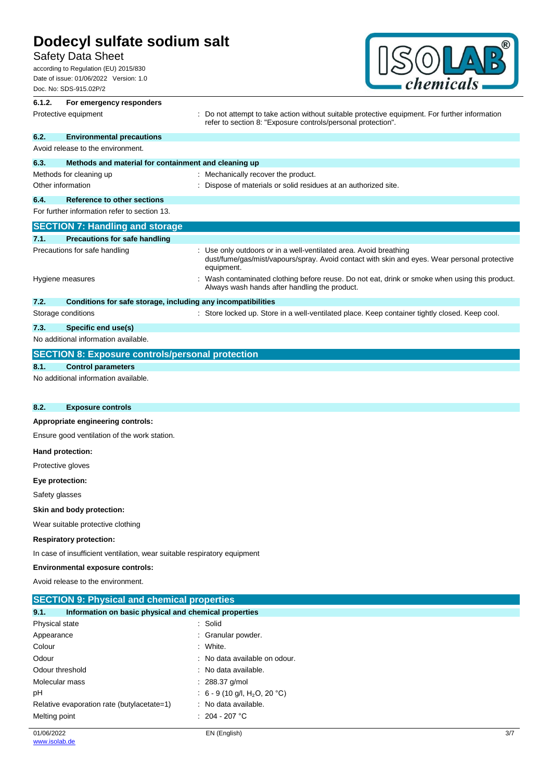## Safety Data Sheet

according to Regulation (EU) 2015/830 Date of issue: 01/06/2022 Version: 1.0 Doc. No: SDS-915.02P/2



# **6.1.2. For emergency responders** Protective equipment **interprotective** curves : Do not attempt to take action without suitable protective equipment. For further information refer to section 8: "Exposure controls/personal protection". **6.2. Environmental precautions** Avoid release to the environment. **6.3. Methods and material for containment and cleaning up** Methods for cleaning up : Mechanically recover the product. Other information **intervals and the Contract of Materials or solid residues at an authorized site. 6.4. Reference to other sections** For further information refer to section 13. **SECTION 7: Handling and storage 7.1. Precautions for safe handling** Precautions for safe handling **interest of the State of the State of State 1**: Use only outdoors or in a well-ventilated area. Avoid breathing dust/fume/gas/mist/vapours/spray. Avoid contact with skin and eyes. Wear personal protective equipment. Hygiene measures **interpretatal in the Contaminated clothing before reuse.** Do not eat, drink or smoke when using this product. Always wash hands after handling the product. **7.2. Conditions for safe storage, including any incompatibilities** Storage conditions **in the state of the state of the state of the store in a well-ventilated place. Keep container tightly closed. Keep cool. 7.3. Specific end use(s)** No additional information available. **SECTION 8: Exposure controls/personal protection 8.1. Control parameters** No additional information available.

#### **8.2. Exposure controls**

#### **Appropriate engineering controls:**

Ensure good ventilation of the work station.

#### **Hand protection:**

Protective gloves

#### **Eye protection:**

Safety glasses

#### **Skin and body protection:**

Wear suitable protective clothing

#### **Respiratory protection:**

In case of insufficient ventilation, wear suitable respiratory equipment

#### **Environmental exposure controls:**

Avoid release to the environment.

| <b>SECTION 9: Physical and chemical properties</b>            |                                           |     |
|---------------------------------------------------------------|-------------------------------------------|-----|
| Information on basic physical and chemical properties<br>9.1. |                                           |     |
| Physical state                                                | : Solid                                   |     |
| Appearance                                                    | : Granular powder.                        |     |
| Colour                                                        | : White.                                  |     |
| Odour                                                         | : No data available on odour.             |     |
| Odour threshold                                               | : No data available.                      |     |
| Molecular mass                                                | : $288.37$ g/mol                          |     |
| pH                                                            | : 6 - 9 (10 g/l, H <sub>2</sub> O, 20 °C) |     |
| Relative evaporation rate (butylacetate=1)                    | : No data available.                      |     |
| Melting point                                                 | $: 204 - 207$ °C                          |     |
| 01/06/2022                                                    | EN (English)                              | 3/7 |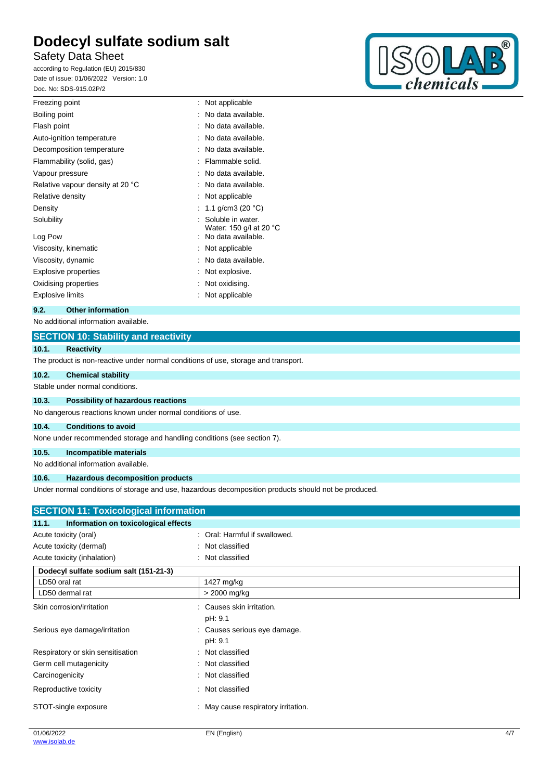# Safety Data Sheet

according to Regulation (EU) 2015/830 Date of issue: 01/06/2022 Version: 1.0 Doc. No: SDS-915.02P/2



| Freezing point                   | Not applicable                               |
|----------------------------------|----------------------------------------------|
| Boiling point                    | No data available.                           |
| Flash point                      | No data available.                           |
| Auto-ignition temperature        | No data available.                           |
| Decomposition temperature        | No data available.                           |
| Flammability (solid, gas)        | Flammable solid.                             |
| Vapour pressure                  | No data available.                           |
| Relative vapour density at 20 °C | No data available.                           |
| Relative density                 | Not applicable                               |
| Density                          | 1.1 g/cm3 (20 $^{\circ}$ C)                  |
| Solubility                       | Soluble in water.<br>Water: 150 g/l at 20 °C |
| Log Pow                          | No data available.                           |
| Viscosity, kinematic             | Not applicable                               |
| Viscosity, dynamic               | No data available.                           |
| Explosive properties             | Not explosive.                               |
| Oxidising properties             | Not oxidising.                               |
| <b>Explosive limits</b>          | Not applicable                               |
|                                  |                                              |

#### **9.2. Other information**

#### No additional information available.

## **SECTION 10: Stability and reactivity**

#### **10.1. Reactivity**

The product is non-reactive under normal conditions of use, storage and transport.

#### **10.2. Chemical stability**

Stable under normal conditions.

# **10.3. Possibility of hazardous reactions**

No dangerous reactions known under normal conditions of use.

#### **10.4. Conditions to avoid**

None under recommended storage and handling conditions (see section 7).

# **10.5. Incompatible materials**

No additional information available.

#### **10.6. Hazardous decomposition products**

Under normal conditions of storage and use, hazardous decomposition products should not be produced.

| <b>SECTION 11: Toxicological information</b>  |                                     |  |
|-----------------------------------------------|-------------------------------------|--|
| Information on toxicological effects<br>11.1. |                                     |  |
| Acute toxicity (oral)                         | : Oral: Harmful if swallowed.       |  |
| Acute toxicity (dermal)                       | : Not classified                    |  |
| Acute toxicity (inhalation)                   | : Not classified                    |  |
| Dodecyl sulfate sodium salt (151-21-3)        |                                     |  |
| LD50 oral rat                                 | 1427 mg/kg                          |  |
| LD50 dermal rat                               | > 2000 mg/kg                        |  |
| Skin corrosion/irritation                     | : Causes skin irritation.           |  |
|                                               | pH: 9.1                             |  |
| Serious eye damage/irritation                 | : Causes serious eye damage.        |  |
|                                               | pH: 9.1                             |  |
| Respiratory or skin sensitisation             | : Not classified                    |  |
| Germ cell mutagenicity                        | : Not classified                    |  |
| Carcinogenicity                               | : Not classified                    |  |
| Reproductive toxicity                         | : Not classified                    |  |
| STOT-single exposure                          | : May cause respiratory irritation. |  |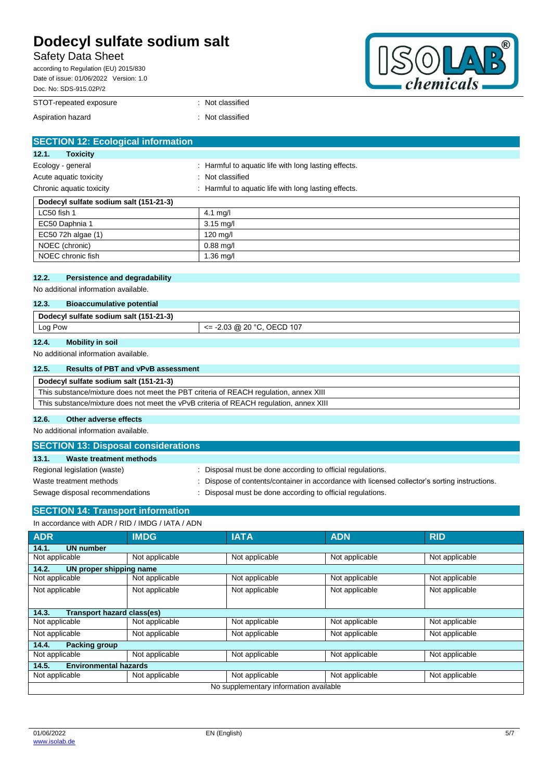# Safety Data Sheet

according to Regulation (EU) 2015/830 Date of issue: 01/06/2022 Version: 1.0 Doc. No: SDS-915.02P/2



| DOC. NO: SDS-915.02P/2 |                  |
|------------------------|------------------|
| STOT-repeated exposure | : Not classified |
| Aspiration hazard      | : Not classified |

| <b>SECTION 12: Ecological information</b> |                                                      |  |
|-------------------------------------------|------------------------------------------------------|--|
| <b>Toxicity</b><br>12.1.                  |                                                      |  |
| Ecology - general                         | : Harmful to aquatic life with long lasting effects. |  |
| Acute aquatic toxicity                    | : Not classified                                     |  |
| Chronic aquatic toxicity                  | : Harmful to aquatic life with long lasting effects. |  |
| Dodecyl sulfate sodium salt (151-21-3)    |                                                      |  |
| LC50 fish 1                               | 4.1 mg/l                                             |  |
| EC50 Daphnia 1                            | $3.15$ mg/l                                          |  |
| EC50 72h algae (1)                        | $120 \text{ mg}/I$                                   |  |
| NOEC (chronic)                            | $0.88$ mg/l                                          |  |
| NOEC chronic fish                         | $1.36$ mg/l                                          |  |
|                                           |                                                      |  |
| 12.2.<br>Persistence and degradability    |                                                      |  |
| No additional information available.      |                                                      |  |
| 12.3.<br><b>Bioaccumulative potential</b> |                                                      |  |
| Dodecyl sulfate sodium salt (151-21-3)    |                                                      |  |

# Log Pow <= -2.03 @ 20 °C, OECD 107

**12.4. Mobility in soil**

No additional information available.

#### **12.5. Results of PBT and vPvB assessment**

| Dodecyl sulfate sodium salt (151-21-3)                                                 |
|----------------------------------------------------------------------------------------|
| This substance/mixture does not meet the PBT criteria of REACH regulation, annex XIII  |
| This substance/mixture does not meet the vPvB criteria of REACH regulation, annex XIII |

## **12.6. Other adverse effects**

No additional information available.

| <b>SECTION 13: Disposal considerations</b> |                                                                                             |  |  |  |  |
|--------------------------------------------|---------------------------------------------------------------------------------------------|--|--|--|--|
| 13.1.<br>Waste treatment methods           |                                                                                             |  |  |  |  |
| Regional legislation (waste)               | : Disposal must be done according to official regulations.                                  |  |  |  |  |
| Waste treatment methods                    | Dispose of contents/container in accordance with licensed collector's sorting instructions. |  |  |  |  |
| Sewage disposal recommendations            | Disposal must be done according to official regulations.                                    |  |  |  |  |

## **SECTION 14: Transport information**

| In accordance with ADR / RID / IMDG / IATA / ADN |  |
|--------------------------------------------------|--|
|                                                  |  |

| <b>ADR</b>                                 | <b>IMDG</b>    | <b>IATA</b>    | <b>ADN</b>     | <b>RID</b>     |
|--------------------------------------------|----------------|----------------|----------------|----------------|
| <b>UN number</b><br>14.1.                  |                |                |                |                |
| Not applicable                             | Not applicable | Not applicable | Not applicable | Not applicable |
| 14.2.<br>UN proper shipping name           |                |                |                |                |
| Not applicable                             | Not applicable | Not applicable | Not applicable | Not applicable |
| Not applicable                             | Not applicable | Not applicable | Not applicable | Not applicable |
| <b>Transport hazard class(es)</b><br>14.3. |                |                |                |                |
| Not applicable                             | Not applicable | Not applicable | Not applicable | Not applicable |
| Not applicable                             | Not applicable | Not applicable | Not applicable | Not applicable |
| 14.4.<br><b>Packing group</b>              |                |                |                |                |
| Not applicable                             | Not applicable | Not applicable | Not applicable | Not applicable |
| <b>Environmental hazards</b><br>14.5.      |                |                |                |                |
| Not applicable                             | Not applicable | Not applicable | Not applicable | Not applicable |
| No supplementary information available     |                |                |                |                |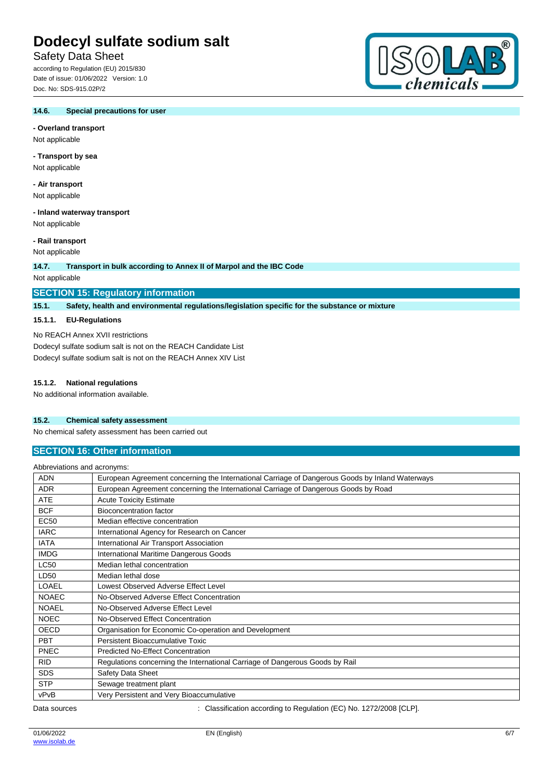# Safety Data Sheet

according to Regulation (EU) 2015/830 Date of issue: 01/06/2022 Version: 1.0 Doc. No: SDS-915.02P/2

#### **14.6. Special precautions for user**

# **- Overland transport**

Not applicable

#### **- Transport by sea**

Not applicable

#### **- Air transport**

Not applicable

#### **- Inland waterway transport**

Not applicable

# **- Rail transport**

Not applicable

#### **14.7. Transport in bulk according to Annex II of Marpol and the IBC Code**

Not applicable

#### **SECTION 15: Regulatory information**

**15.1. Safety, health and environmental regulations/legislation specific for the substance or mixture**

#### **15.1.1. EU-Regulations**

No REACH Annex XVII restrictions

Dodecyl sulfate sodium salt is not on the REACH Candidate List Dodecyl sulfate sodium salt is not on the REACH Annex XIV List

#### **15.1.2. National regulations**

No additional information available.

### **15.2. Chemical safety assessment**

No chemical safety assessment has been carried out

## **SECTION 16: Other information**

Abbreviations and acronyms:

| <b>ADN</b>   | European Agreement concerning the International Carriage of Dangerous Goods by Inland Waterways |
|--------------|-------------------------------------------------------------------------------------------------|
| <b>ADR</b>   | European Agreement concerning the International Carriage of Dangerous Goods by Road             |
| <b>ATE</b>   | <b>Acute Toxicity Estimate</b>                                                                  |
| <b>BCF</b>   | Bioconcentration factor                                                                         |
| <b>EC50</b>  | Median effective concentration                                                                  |
| <b>IARC</b>  | International Agency for Research on Cancer                                                     |
| <b>IATA</b>  | International Air Transport Association                                                         |
| <b>IMDG</b>  | <b>International Maritime Dangerous Goods</b>                                                   |
| <b>LC50</b>  | Median lethal concentration                                                                     |
| LD50         | Median lethal dose                                                                              |
| <b>LOAEL</b> | Lowest Observed Adverse Effect Level                                                            |
| <b>NOAEC</b> | No-Observed Adverse Effect Concentration                                                        |
| <b>NOAEL</b> | No-Observed Adverse Effect Level                                                                |
| <b>NOEC</b>  | No-Observed Effect Concentration                                                                |
| <b>OECD</b>  | Organisation for Economic Co-operation and Development                                          |
| <b>PBT</b>   | Persistent Bioaccumulative Toxic                                                                |
| <b>PNEC</b>  | <b>Predicted No-Effect Concentration</b>                                                        |
| <b>RID</b>   | Regulations concerning the International Carriage of Dangerous Goods by Rail                    |
| <b>SDS</b>   | Safety Data Sheet                                                                               |
| <b>STP</b>   | Sewage treatment plant                                                                          |
| vPvB         | Very Persistent and Very Bioaccumulative                                                        |

Data sources **in the source of the Classification according to Regulation (EC) No. 1272/2008 [CLP].**